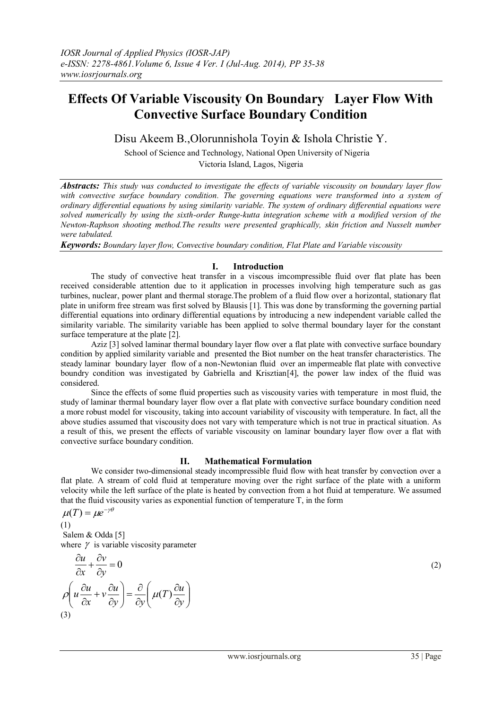# **Effects Of Variable Viscousity On Boundary Layer Flow With Convective Surface Boundary Condition**

Disu Akeem B.,Olorunnishola Toyin & Ishola Christie Y.

School of Science and Technology, National Open University of Nigeria

Victoria Island, Lagos, Nigeria

*Abstracts: This study was conducted to investigate the effects of variable viscousity on boundary layer flow with convective surface boundary condition. The governing equations were transformed into a system of ordinary differential equations by using similarity variable. The system of ordinary differential equations were solved numerically by using the sixth-order Runge-kutta integration scheme with a modified version of the Newton-Raphson shooting method.The results were presented graphically, skin friction and Nusselt number were tabulated.*

*Keywords: Boundary layer flow, Convective boundary condition, Flat Plate and Variable viscousity*

## **I. Introduction**

The study of convective heat transfer in a viscous imcompressible fluid over flat plate has been received considerable attention due to it application in processes involving high temperature such as gas turbines, nuclear, power plant and thermal storage.The problem of a fluid flow over a horizontal, stationary flat plate in uniform free stream was first solved by Blausis [1]. This was done by transforming the governing partial differential equations into ordinary differential equations by introducing a new independent variable called the similarity variable. The similarity variable has been applied to solve thermal boundary layer for the constant surface temperature at the plate [2].

Aziz [3] solved laminar thermal boundary layer flow over a flat plate with convective surface boundary condition by applied similarity variable and presented the Biot number on the heat transfer characteristics. The steady laminar boundary layer flow of a non-Newtonian fluid over an impermeable flat plate with convective boundry condition was investigated by Gabriella and Krisztian[4], the power law index of the fluid was considered.

Since the effects of some fluid properties such as viscousity varies with temperature in most fluid, the study of laminar thermal boundary layer flow over a flat plate with convective surface boundary condition need a more robust model for viscousity, taking into account variability of viscousity with temperature. In fact, all the above studies assumed that viscousity does not vary with temperature which is not true in practical situation. As a result of this, we present the effects of variable viscousity on laminar boundary layer flow over a flat with convective surface boundary condition.

## **II. Mathematical Formulation**

We consider two-dimensional steady incompressible fluid flow with heat transfer by convection over a flat plate. A stream of cold fluid at temperature moving over the right surface of the plate with a uniform velocity while the left surface of the plate is heated by convection from a hot fluid at temperature. We assumed that the fluid viscousity varies as exponential function of temperature T, in the form

 $\mu(T) = \mu e^{-\gamma \theta}$ 

(1) Salem & Odda [5] where  $\gamma$  is variable viscosity parameter

$$
\frac{\partial u}{\partial x} + \frac{\partial v}{\partial y} = 0
$$
  

$$
\rho \left( u \frac{\partial u}{\partial x} + v \frac{\partial u}{\partial y} \right) = \frac{\partial}{\partial y} \left( \mu(T) \frac{\partial u}{\partial y} \right)
$$
  
(3)

(2)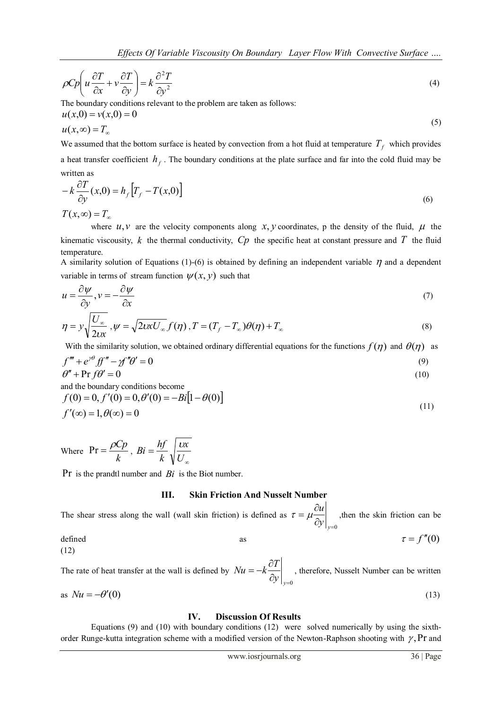$$
\rho C p \left( u \frac{\partial T}{\partial x} + v \frac{\partial T}{\partial y} \right) = k \frac{\partial^2 T}{\partial y^2}
$$
\n(4)

The boundary conditions relevant to the problem are taken as follows:

$$
u(x,0) = v(x,0) = 0
$$
  
 
$$
u(x,\infty) = T_{\infty}
$$
 (5)

We assumed that the bottom surface is heated by convection from a hot fluid at temperature  $T_f$  which provides a heat transfer coefficient  $h_f$ . The boundary conditions at the plate surface and far into the cold fluid may be written as

$$
-k\frac{\partial T}{\partial y}(x,0) = h_f[T_f - T(x,0)]
$$
  

$$
T(x,\infty) = T_\infty
$$
 (6)

where  $u, v$  are the velocity components along  $x, y$  coordinates, p the density of the fluid,  $\mu$  the kinematic viscousity, k the thermal conductivity,  $C_p$  the specific heat at constant pressure and T the fluid temperature.

A similarity solution of Equations (1)-(6) is obtained by defining an independent variable  $\eta$  and a dependent variable in terms of stream function  $\psi(x, y)$  such that

$$
u = \frac{\partial \psi}{\partial y}, v = -\frac{\partial \psi}{\partial x}
$$
 (7)

$$
\eta = y \sqrt{\frac{U_{\infty}}{2tx}}, \psi = \sqrt{2uxU_{\infty}} f(\eta), T = (T_f - T_{\infty})\theta(\eta) + T_{\infty}
$$
\n(8)

With the similarity solution, we obtained ordinary differential equations for the functions  $f(\eta)$  and  $\theta(\eta)$  as

$$
f''' + e^{\gamma \theta} f f'' - \gamma f'' \theta' = 0 \tag{9}
$$

$$
\theta'' + \Pr f \theta' = 0 \tag{10}
$$

$$
f(0) = 0, f'(0) = 0, \theta'(0) = -Bi[1 - \theta(0)]
$$
  

$$
f'(\infty) = 1, \theta(\infty) = 0
$$
 (11)

Where  $Pr = \frac{F}{k}$  $Pr = \frac{\rho C p}{l}$  $\infty$  $=$ *U x k*  $Bi = \frac{hf}{l} \sqrt{\frac{v}{l}}$ 

Pr is the prandtl number and  $Bi$  is the Biot number.

## **III. Skin Friction And Nusselt Number**

The shear stress along the wall (wall skin friction) is defined as  $\partial y\big|_{y=0}$  $=\mu \frac{\partial}{\partial x}$  $y|_{y}$  $\tau = \mu \frac{\partial u}{\partial \rho}$ , then the skin friction can be

defined as 
$$
as
$$

The rate of heat transfer at the wall is defined by  $\partial \mathcal{Y}\big|_{\mathcal{Y}=0}$  $=-k\frac{\partial}{\partial x}$  $y\big|_y$  $Nu = -k\frac{\partial T}{\partial r}$ , therefore, Nusselt Number can be written as  $Nu = -\theta'(0)$  (13)

## **IV. Discussion Of Results**

Equations (9) and (10) with boundary conditions (12) were solved numerically by using the sixthorder Runge-kutta integration scheme with a modified version of the Newton-Raphson shooting with  $\gamma$ , Pr and

 $\tau = f''(0)$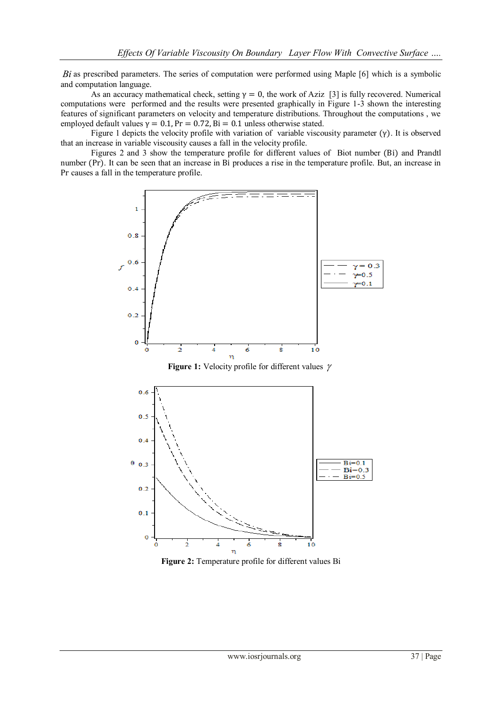*Bi* as prescribed parameters. The series of computation were performed using Maple [6] which is a symbolic and computation language.

As an accuracy mathematical check, setting  $\gamma = 0$ , the work of Aziz [3] is fully recovered. Numerical computations were performed and the results were presented graphically in Figure 1-3 shown the interesting features of significant parameters on velocity and temperature distributions. Throughout the computations , we employed default values  $\gamma = 0.1$ ,  $Pr = 0.72$ ,  $Bi = 0.1$  unless otherwise stated.

Figure 1 depicts the velocity profile with variation of variable viscousity parameter (γ). It is observed that an increase in variable viscousity causes a fall in the velocity profile.

Figures 2 and 3 show the temperature profile for different values of Biot number (Bi) and Prandtl number (Pr). It can be seen that an increase in Bi produces a rise in the temperature profile. But, an increase in Pr causes a fall in the temperature profile.



**Figure 2:** Temperature profile for different values Bi